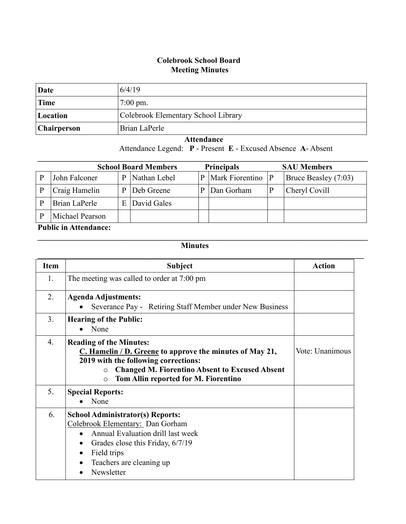## **Colebrook School Board Meeting Minutes**

| Date               | 6/4/19                              |
|--------------------|-------------------------------------|
| Time               | $7:00 \text{ pm}.$                  |
| Location           | Colebrook Elementary School Library |
| <b>Chairperson</b> | Brian LaPerle                       |

 **Attendance**

Attendance Legend: **P** - Present **E** - Excused Absence **A**- Absent

| <b>School Board Members</b> |                 |   |              | <b>Principals</b> |                 | <b>SAU Members</b> |                      |
|-----------------------------|-----------------|---|--------------|-------------------|-----------------|--------------------|----------------------|
| P                           | John Falconer   | P | Nathan Lebel | P                 | Mark Fiorentino | P                  | Bruce Beasley (7:03) |
| P                           | Craig Hamelin   | D | Deb Greene   | P                 | Dan Gorham      |                    | Cheryl Covill        |
| P                           | Brian LaPerle   | E | David Gales  |                   |                 |                    |                      |
| P                           | Michael Pearson |   |              |                   |                 |                    |                      |

## **Public in Attendance:**

## **Minutes**

 $\mathcal{L} = \{ \mathcal{L} \mathcal{L} \mathcal{L} \mathcal{L} \mathcal{L} \mathcal{L} \mathcal{L} \mathcal{L} \mathcal{L} \mathcal{L} \mathcal{L} \mathcal{L} \mathcal{L} \mathcal{L} \mathcal{L} \mathcal{L} \mathcal{L} \mathcal{L} \mathcal{L} \mathcal{L} \mathcal{L} \mathcal{L} \mathcal{L} \mathcal{L} \mathcal{L} \mathcal{L} \mathcal{L} \mathcal{L} \mathcal{L} \mathcal{L} \mathcal{L} \mathcal{L} \mathcal{L} \mathcal{L} \mathcal{L} \$ 

| <b>Item</b>    | <b>Subject</b>                                                                                                                                                                                                                                              | <b>Action</b>   |
|----------------|-------------------------------------------------------------------------------------------------------------------------------------------------------------------------------------------------------------------------------------------------------------|-----------------|
| 1.             | The meeting was called to order at 7:00 pm                                                                                                                                                                                                                  |                 |
| 2.             | <b>Agenda Adjustments:</b><br>Severance Pay - Retiring Staff Member under New Business                                                                                                                                                                      |                 |
| 3 <sub>1</sub> | <b>Hearing of the Public:</b><br>None<br>$\bullet$                                                                                                                                                                                                          |                 |
| $4_{\cdot}$    | <b>Reading of the Minutes:</b><br>$C.$ Hamelin / D. Greene to approve the minutes of May 21,<br>2019 with the following corrections:<br><b>Changed M. Fiorentino Absent to Excused Absent</b><br>$\circ$<br>Tom Allin reported for M. Fiorentino<br>$\circ$ | Vote: Unanimous |
| 5.             | <b>Special Reports:</b><br>None                                                                                                                                                                                                                             |                 |
| 6.             | <b>School Administrator(s) Reports:</b><br>Colebrook Elementary: Dan Gorham<br>Annual Evaluation drill last week<br>$\bullet$<br>Grades close this Friday, 6/7/19<br>٠<br>Field trips<br>$\bullet$<br>Teachers are cleaning up<br>Newsletter                |                 |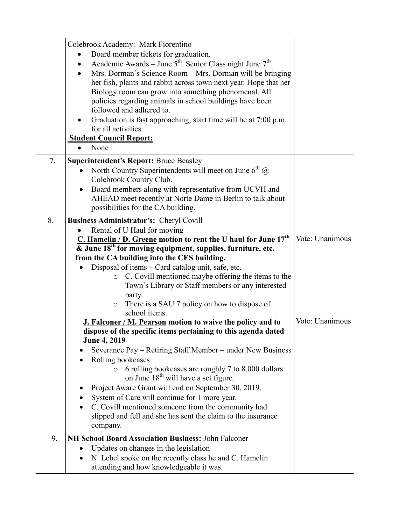|    | Colebrook Academy: Mark Fiorentino<br>Board member tickets for graduation.<br>$\bullet$<br>Academic Awards – June $5^{th}$ . Senior Class night June $7^{th}$ .<br>Mrs. Dorman's Science Room – Mrs. Dorman will be bringing<br>her fish, plants and rabbit across town next year. Hope that her<br>Biology room can grow into something phenomenal. All<br>policies regarding animals in school buildings have been<br>followed and adhered to.<br>Graduation is fast approaching, start time will be at 7:00 p.m.<br>for all activities.<br><b>Student Council Report:</b><br>None |                 |
|----|--------------------------------------------------------------------------------------------------------------------------------------------------------------------------------------------------------------------------------------------------------------------------------------------------------------------------------------------------------------------------------------------------------------------------------------------------------------------------------------------------------------------------------------------------------------------------------------|-----------------|
| 7. | <b>Superintendent's Report: Bruce Beasley</b>                                                                                                                                                                                                                                                                                                                                                                                                                                                                                                                                        |                 |
|    | North Country Superintendents will meet on June $6^{th}$ (a)<br>Colebrook Country Club.                                                                                                                                                                                                                                                                                                                                                                                                                                                                                              |                 |
|    | Board members along with representative from UCVH and<br>$\bullet$<br>AHEAD meet recently at Norte Dame in Berlin to talk about<br>possibilities for the CA building.                                                                                                                                                                                                                                                                                                                                                                                                                |                 |
| 8. | Business Administrator's: Cheryl Covill                                                                                                                                                                                                                                                                                                                                                                                                                                                                                                                                              |                 |
|    | Rental of U Haul for moving<br>C. Hamelin / D. Greene motion to rent the U haul for June $17th$<br>$\overline{\mathbf{\&}$ June 18 <sup>th</sup> for moving equipment, supplies, furniture, etc.                                                                                                                                                                                                                                                                                                                                                                                     | Vote: Unanimous |
|    | from the CA building into the CES building.                                                                                                                                                                                                                                                                                                                                                                                                                                                                                                                                          |                 |
|    | Disposal of items - Card catalog unit, safe, etc.<br>C. Covill mentioned maybe offering the items to the<br>$\circ$<br>Town's Library or Staff members or any interested<br>party.<br>There is a SAU 7 policy on how to dispose of<br>$\circ$<br>school items.                                                                                                                                                                                                                                                                                                                       |                 |
|    | J. Falconer / M. Pearson motion to waive the policy and to                                                                                                                                                                                                                                                                                                                                                                                                                                                                                                                           | Vote: Unanimous |
|    | dispose of the specific items pertaining to this agenda dated<br><b>June 4, 2019</b>                                                                                                                                                                                                                                                                                                                                                                                                                                                                                                 |                 |
|    | Severance Pay – Retiring Staff Member – under New Business                                                                                                                                                                                                                                                                                                                                                                                                                                                                                                                           |                 |
|    | Rolling bookcases<br>6 rolling bookcases are roughly 7 to 8,000 dollars.<br>on June 18 <sup>th</sup> will have a set figure.                                                                                                                                                                                                                                                                                                                                                                                                                                                         |                 |
|    | Project Aware Grant will end on September 30, 2019.                                                                                                                                                                                                                                                                                                                                                                                                                                                                                                                                  |                 |
|    | System of Care will continue for 1 more year.                                                                                                                                                                                                                                                                                                                                                                                                                                                                                                                                        |                 |
|    | C. Covill mentioned someone from the community had<br>slipped and fell and she has sent the claim to the insurance<br>company.                                                                                                                                                                                                                                                                                                                                                                                                                                                       |                 |
| 9. | <b>NH School Board Association Business: John Falconer</b>                                                                                                                                                                                                                                                                                                                                                                                                                                                                                                                           |                 |
|    | Updates on changes in the legislation                                                                                                                                                                                                                                                                                                                                                                                                                                                                                                                                                |                 |
|    | N. Lebel spoke on the recently class he and C. Hamelin<br>attending and how knowledgeable it was.                                                                                                                                                                                                                                                                                                                                                                                                                                                                                    |                 |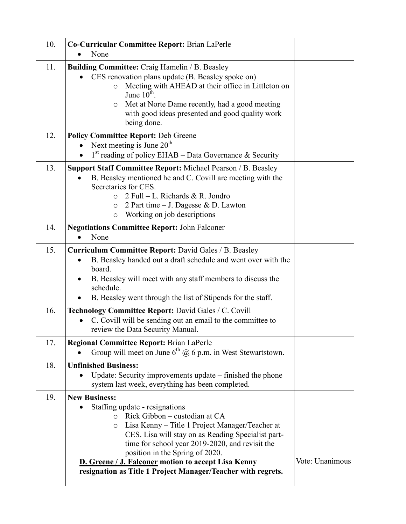| 10. | Co-Curricular Committee Report: Brian LaPerle<br>None                                                                                                                                                                                                                                                                                                                                                                                |                 |
|-----|--------------------------------------------------------------------------------------------------------------------------------------------------------------------------------------------------------------------------------------------------------------------------------------------------------------------------------------------------------------------------------------------------------------------------------------|-----------------|
| 11. | <b>Building Committee:</b> Craig Hamelin / B. Beasley<br>CES renovation plans update (B. Beasley spoke on)<br>Meeting with AHEAD at their office in Littleton on<br>$\circ$<br>June $10^{\text{th}}$ .<br>Met at Norte Dame recently, had a good meeting<br>O<br>with good ideas presented and good quality work<br>being done.                                                                                                      |                 |
| 12. | <b>Policy Committee Report: Deb Greene</b><br>Next meeting is June $20th$<br>$1st$ reading of policy EHAB – Data Governance & Security<br>$\bullet$                                                                                                                                                                                                                                                                                  |                 |
| 13. | Support Staff Committee Report: Michael Pearson / B. Beasley<br>B. Beasley mentioned he and C. Covill are meeting with the<br>$\bullet$<br>Secretaries for CES.<br>$2$ Full – L. Richards & R. Jondro<br>$\Omega$<br>2 Part time $-$ J. Dagesse & D. Lawton<br>$\circ$<br>Working on job descriptions<br>$\circ$                                                                                                                     |                 |
| 14. | <b>Negotiations Committee Report: John Falconer</b><br>None<br>$\bullet$                                                                                                                                                                                                                                                                                                                                                             |                 |
| 15. | <b>Curriculum Committee Report: David Gales / B. Beasley</b><br>B. Beasley handed out a draft schedule and went over with the<br>$\bullet$<br>board.<br>B. Beasley will meet with any staff members to discuss the<br>$\bullet$<br>schedule.<br>B. Beasley went through the list of Stipends for the staff.<br>٠                                                                                                                     |                 |
| 16. | Technology Committee Report: David Gales / C. Covill<br>C. Covill will be sending out an email to the committee to<br>review the Data Security Manual.                                                                                                                                                                                                                                                                               |                 |
| 17. | <b>Regional Committee Report: Brian LaPerle</b><br>Group will meet on June $6^{th}$ @ 6 p.m. in West Stewartstown.                                                                                                                                                                                                                                                                                                                   |                 |
| 18. | <b>Unfinished Business:</b><br>Update: Security improvements update – finished the phone<br>system last week, everything has been completed.                                                                                                                                                                                                                                                                                         |                 |
| 19. | <b>New Business:</b><br>Staffing update - resignations<br>Rick Gibbon – custodian at CA<br>$\Omega$<br>Lisa Kenny – Title 1 Project Manager/Teacher at<br>$\circ$<br>CES. Lisa will stay on as Reading Specialist part-<br>time for school year 2019-2020, and revisit the<br>position in the Spring of 2020.<br>D. Greene / J. Falconer motion to accept Lisa Kenny<br>resignation as Title 1 Project Manager/Teacher with regrets. | Vote: Unanimous |